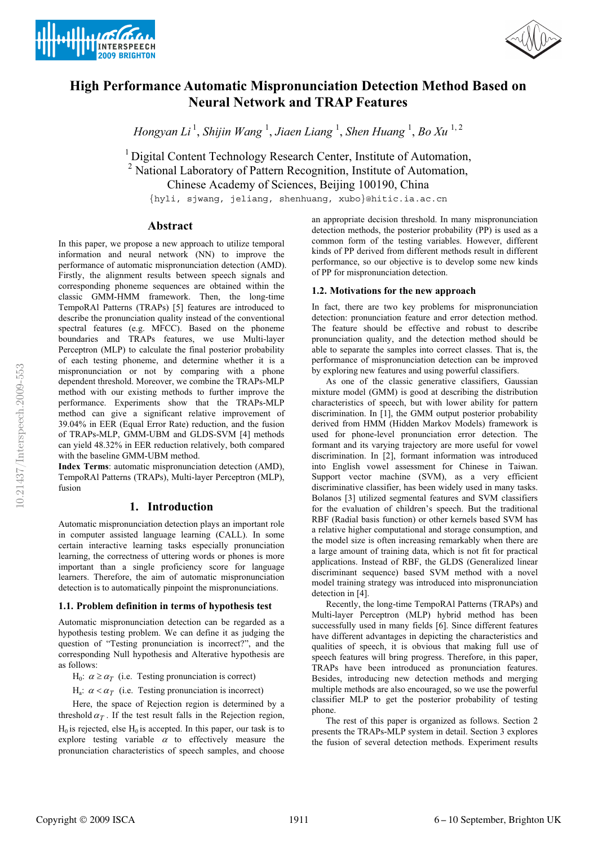



# **High Performance Automatic Mispronunciation Detection Method Based on Neural Network and TRAP Features**

*Hongyan Li* <sup>1</sup> , *Shijin Wang* <sup>1</sup> , *Jiaen Liang* <sup>1</sup> , *Shen Huang* <sup>1</sup> , *Bo Xu* 1, 2

<sup>1</sup> Digital Content Technology Research Center, Institute of Automation, <sup>2</sup> National Laboratory of Pattern Recognition, Institute of Automation, Chinese Academy of Sciences, Beijing 100190, China

{hyli, sjwang, jeliang, shenhuang, xubo}@hitic.ia.ac.cn

## **Abstract**

In this paper, we propose a new approach to utilize temporal information and neural network (NN) to improve the performance of automatic mispronunciation detection (AMD). Firstly, the alignment results between speech signals and corresponding phoneme sequences are obtained within the classic GMM-HMM framework. Then, the long-time TempoRAl Patterns (TRAPs) [5] features are introduced to describe the pronunciation quality instead of the conventional spectral features (e.g. MFCC). Based on the phoneme boundaries and TRAPs features, we use Multi-layer Perceptron (MLP) to calculate the final posterior probability of each testing phoneme, and determine whether it is a mispronunciation or not by comparing with a phone dependent threshold. Moreover, we combine the TRAPs-MLP method with our existing methods to further improve the performance. Experiments show that the TRAPs-MLP method can give a significant relative improvement of 39.04% in EER (Equal Error Rate) reduction, and the fusion of TRAPs-MLP, GMM-UBM and GLDS-SVM [4] methods can yield 48.32% in EER reduction relatively, both compared with the baseline GMM-UBM method.

**Index Terms**: automatic mispronunciation detection (AMD), TempoRAl Patterns (TRAPs), Multi-layer Perceptron (MLP), fusion

## **1. Introduction**

Automatic mispronunciation detection plays an important role in computer assisted language learning (CALL). In some certain interactive learning tasks especially pronunciation learning, the correctness of uttering words or phones is more important than a single proficiency score for language learners. Therefore, the aim of automatic mispronunciation detection is to automatically pinpoint the mispronunciations.

#### **1.1. Problem definition in terms of hypothesis test**

Automatic mispronunciation detection can be regarded as a hypothesis testing problem. We can define it as judging the question of "Testing pronunciation is incorrect?", and the corresponding Null hypothesis and Alterative hypothesis are as follows:

 $H_0$ :  $\alpha \ge \alpha_T$  (i.e. Testing pronunciation is correct)

 $H_a$ :  $\alpha < \alpha_T$  (i.e. Testing pronunciation is incorrect)

Here, the space of Rejection region is determined by a threshold  $\alpha_T$ . If the test result falls in the Rejection region,  $H<sub>0</sub>$  is rejected, else  $H<sub>0</sub>$  is accepted. In this paper, our task is to explore testing variable  $\alpha$  to effectively measure the pronunciation characteristics of speech samples, and choose

an appropriate decision threshold. In many mispronunciation detection methods, the posterior probability (PP) is used as a common form of the testing variables. However, different kinds of PP derived from different methods result in different performance, so our objective is to develop some new kinds of PP for mispronunciation detection.

#### **1.2. Motivations for the new approach**

In fact, there are two key problems for mispronunciation detection: pronunciation feature and error detection method. The feature should be effective and robust to describe pronunciation quality, and the detection method should be able to separate the samples into correct classes. That is, the performance of mispronunciation detection can be improved by exploring new features and using powerful classifiers.

As one of the classic generative classifiers, Gaussian mixture model (GMM) is good at describing the distribution characteristics of speech, but with lower ability for pattern discrimination. In [1], the GMM output posterior probability derived from HMM (Hidden Markov Models) framework is used for phone-level pronunciation error detection. The formant and its varying trajectory are more useful for vowel discrimination. In [2], formant information was introduced into English vowel assessment for Chinese in Taiwan. Support vector machine (SVM), as a very efficient discriminative classifier, has been widely used in many tasks. Bolanos [3] utilized segmental features and SVM classifiers for the evaluation of children's speech. But the traditional RBF (Radial basis function) or other kernels based SVM has a relative higher computational and storage consumption, and the model size is often increasing remarkably when there are a large amount of training data, which is not fit for practical applications. Instead of RBF, the GLDS (Generalized linear discriminant sequence) based SVM method with a novel model training strategy was introduced into mispronunciation detection in [4].

Recently, the long-time TempoRAl Patterns (TRAPs) and Multi-layer Perceptron (MLP) hybrid method has been successfully used in many fields [6]. Since different features have different advantages in depicting the characteristics and qualities of speech, it is obvious that making full use of speech features will bring progress. Therefore, in this paper, TRAPs have been introduced as pronunciation features. Besides, introducing new detection methods and merging multiple methods are also encouraged, so we use the powerful classifier MLP to get the posterior probability of testing phone.

The rest of this paper is organized as follows. Section 2 presents the TRAPs-MLP system in detail. Section 3 explores the fusion of several detection methods. Experiment results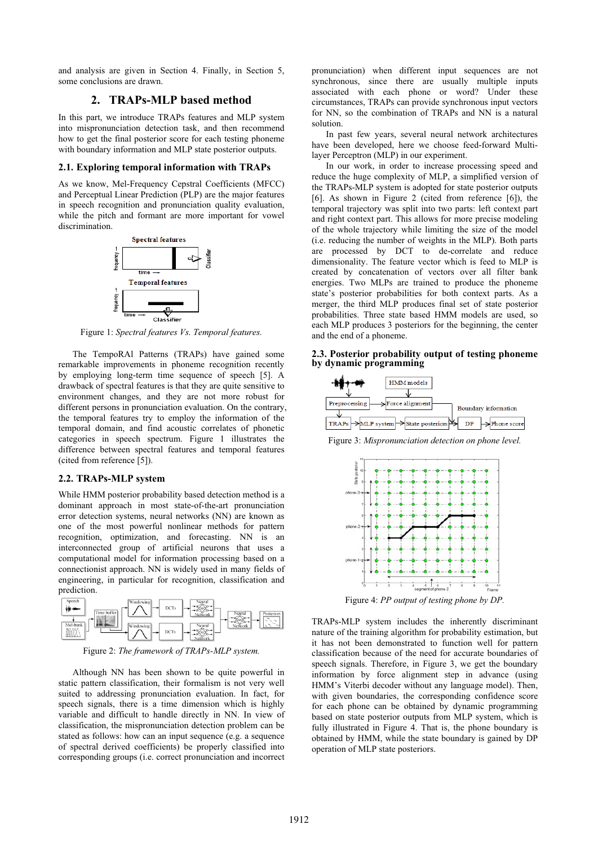and analysis are given in Section 4. Finally, in Section 5, some conclusions are drawn.

# **2. TRAPs-MLP based method**

In this part, we introduce TRAPs features and MLP system into mispronunciation detection task, and then recommend how to get the final posterior score for each testing phoneme with boundary information and MLP state posterior outputs.

#### **2.1. Exploring temporal information with TRAPs**

As we know, Mel-Frequency Cepstral Coefficients (MFCC) and Perceptual Linear Prediction (PLP) are the major features in speech recognition and pronunciation quality evaluation, while the pitch and formant are more important for vowel discrimination.



Figure 1: *Spectral features Vs. Temporal features.* 

The TempoRAl Patterns (TRAPs) have gained some remarkable improvements in phoneme recognition recently by employing long-term time sequence of speech [5]. A drawback of spectral features is that they are quite sensitive to environment changes, and they are not more robust for different persons in pronunciation evaluation. On the contrary, the temporal features try to employ the information of the temporal domain, and find acoustic correlates of phonetic categories in speech spectrum. Figure 1 illustrates the difference between spectral features and temporal features (cited from reference [5]).

#### **2.2. TRAPs-MLP system**

While HMM posterior probability based detection method is a dominant approach in most state-of-the-art pronunciation error detection systems, neural networks (NN) are known as one of the most powerful nonlinear methods for pattern recognition, optimization, and forecasting. NN is an interconnected group of artificial neurons that uses a computational model for information processing based on a connectionist approach. NN is widely used in many fields of engineering, in particular for recognition, classification and prediction.



Figure 2: *The framework of TRAPs-MLP system.* 

Although NN has been shown to be quite powerful in static pattern classification, their formalism is not very well suited to addressing pronunciation evaluation. In fact, for speech signals, there is a time dimension which is highly variable and difficult to handle directly in NN. In view of classification, the mispronunciation detection problem can be stated as follows: how can an input sequence (e.g. a sequence of spectral derived coefficients) be properly classified into corresponding groups (i.e. correct pronunciation and incorrect pronunciation) when different input sequences are not synchronous, since there are usually multiple inputs associated with each phone or word? Under these circumstances, TRAPs can provide synchronous input vectors for NN, so the combination of TRAPs and NN is a natural solution.

In past few years, several neural network architectures have been developed, here we choose feed-forward Multilayer Perceptron (MLP) in our experiment.

In our work, in order to increase processing speed and reduce the huge complexity of MLP, a simplified version of the TRAPs-MLP system is adopted for state posterior outputs [6]. As shown in Figure 2 (cited from reference [6]), the temporal trajectory was split into two parts: left context part and right context part. This allows for more precise modeling of the whole trajectory while limiting the size of the model (i.e. reducing the number of weights in the MLP). Both parts are processed by DCT to de-correlate and reduce dimensionality. The feature vector which is feed to MLP is created by concatenation of vectors over all filter bank energies. Two MLPs are trained to produce the phoneme state's posterior probabilities for both context parts. As a merger, the third MLP produces final set of state posterior probabilities. Three state based HMM models are used, so each MLP produces 3 posteriors for the beginning, the center and the end of a phoneme.





Figure 3: *Mispronunciation detection on phone level.* 



Figure 4: *PP output of testing phone by DP.* 

TRAPs-MLP system includes the inherently discriminant nature of the training algorithm for probability estimation, but it has not been demonstrated to function well for pattern classification because of the need for accurate boundaries of speech signals. Therefore, in Figure 3, we get the boundary information by force alignment step in advance (using HMM's Viterbi decoder without any language model). Then, with given boundaries, the corresponding confidence score for each phone can be obtained by dynamic programming based on state posterior outputs from MLP system, which is fully illustrated in Figure 4. That is, the phone boundary is obtained by HMM, while the state boundary is gained by DP operation of MLP state posteriors.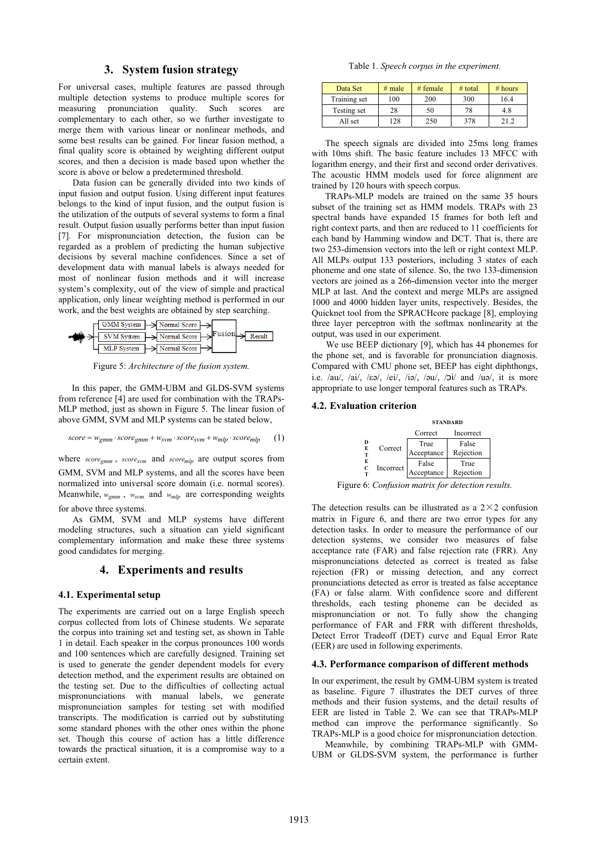### **3. System fusion strategy**

For universal cases, multiple features are passed through multiple detection systems to produce multiple scores for measuring pronunciation quality. Such scores are complementary to each other, so we further investigate to merge them with various linear or nonlinear methods, and some best results can be gained. For linear fusion method, a final quality score is obtained by weighting different output scores, and then a decision is made based upon whether the score is above or below a predetermined threshold.

Data fusion can be generally divided into two kinds of input fusion and output fusion. Using different input features belongs to the kind of input fusion, and the output fusion is the utilization of the outputs of several systems to form a final result. Output fusion usually performs better than input fusion [7]. For mispronunciation detection, the fusion can be regarded as a problem of predicting the human subjective decisions by several machine confidences. Since a set of development data with manual labels is always needed for most of nonlinear fusion methods and it will increase system's complexity, out of the view of simple and practical application, only linear weighting method is performed in our work, and the best weights are obtained by step searching.



Figure 5: *Architecture of the fusion system.* 

In this paper, the GMM-UBM and GLDS-SVM systems from reference [4] are used for combination with the TRAPs-MLP method, just as shown in Figure 5. The linear fusion of above GMM, SVM and MLP systems can be stated below,

$$
score = w_{gmm} \cdot score_{gmm} + w_{svm} \cdot score_{svm} + w_{mlp} \cdot score_{mlp} \tag{1}
$$

where *score<sub>gmm</sub>*, *score<sub>svm</sub>* and *score<sub>mlp</sub>* are output scores from GMM, SVM and MLP systems, and all the scores have been normalized into universal score domain (i.e. normal scores). Meanwhile,  $w_{gmm}$ ,  $w_{sym}$  and  $w_{mlp}$  are corresponding weights for above three systems.

As GMM, SVM and MLP systems have different modeling structures, such a situation can yield significant complementary information and make these three systems good candidates for merging.

## **4. Experiments and results**

#### **4.1. Experimental setup**

The experiments are carried out on a large English speech corpus collected from lots of Chinese students. We separate the corpus into training set and testing set, as shown in Table 1 in detail. Each speaker in the corpus pronounces 100 words and 100 sentences which are carefully designed. Training set is used to generate the gender dependent models for every detection method, and the experiment results are obtained on the testing set. Due to the difficulties of collecting actual mispronunciations with manual labels, we generate mispronunciation samples for testing set with modified transcripts. The modification is carried out by substituting some standard phones with the other ones within the phone set. Though this course of action has a little difference towards the practical situation, it is a compromise way to a certain extent.

Table 1. *Speech corpus in the experiment.* 

| Data Set     | # male | # female | $#$ total | # hours |
|--------------|--------|----------|-----------|---------|
| Training set | 100    | 200      | 300       | 16.4    |
| Testing set  | 28     | 50       | 78        | 4.8     |
| All set      | 128    | 250      | 378       | 212     |

The speech signals are divided into 25ms long frames with 10ms shift. The basic feature includes 13 MFCC with logarithm energy, and their first and second order derivatives. The acoustic HMM models used for force alignment are trained by 120 hours with speech corpus.

TRAPs-MLP models are trained on the same 35 hours subset of the training set as HMM models. TRAPs with 23 spectral bands have expanded 15 frames for both left and right context parts, and then are reduced to 11 coefficients for each band by Hamming window and DCT. That is, there are two 253-dimension vectors into the left or right context MLP. All MLPs output 133 posteriors, including 3 states of each phoneme and one state of silence. So, the two 133-dimension vectors are joined as a 266-dimension vector into the merger MLP at last. And the context and merge MLPs are assigned 1000 and 4000 hidden layer units, respectively. Besides, the Quicknet tool from the SPRACHcore package [8], employing three layer perceptron with the softmax nonlinearity at the output, was used in our experiment.

We use BEEP dictionary [9], which has 44 phonemes for the phone set, and is favorable for pronunciation diagnosis. Compared with CMU phone set, BEEP has eight diphthongs, i.e. /au/, /ai/, / $\varepsilon \partial$ /, /ei/, /i $\partial$ /, / $\partial$ u/, / $\partial$ i/ and /u $\partial$ /, it is more appropriate to use longer temporal features such as TRAPs.

#### **4.2. Evaluation criterion**

|             |           | <b>STANDARD</b>     |                    |  |
|-------------|-----------|---------------------|--------------------|--|
|             |           | Correct             | Incorrect          |  |
| D<br>E<br>т | Correct   | True<br>Acceptance  | False<br>Rejection |  |
| E<br>C      | Incorrect | False<br>Acceptance | True<br>Rejection  |  |

Figure 6: *Confusion matrix for detection results.*

The detection results can be illustrated as a  $2\times 2$  confusion matrix in Figure 6, and there are two error types for any detection tasks. In order to measure the performance of our detection systems, we consider two measures of false acceptance rate (FAR) and false rejection rate (FRR). Any mispronunciations detected as correct is treated as false rejection (FR) or missing detection, and any correct pronunciations detected as error is treated as false acceptance (FA) or false alarm. With confidence score and different thresholds, each testing phoneme can be decided as mispronunciation or not. To fully show the changing performance of FAR and FRR with different thresholds, Detect Error Tradeoff (DET) curve and Equal Error Rate (EER) are used in following experiments.

### **4.3. Performance comparison of different methods**

In our experiment, the result by GMM-UBM system is treated as baseline. Figure 7 illustrates the DET curves of three methods and their fusion systems, and the detail results of EER are listed in Table 2. We can see that TRAPs-MLP method can improve the performance significantly. So TRAPs-MLP is a good choice for mispronunciation detection.

Meanwhile, by combining TRAPs-MLP with GMM-UBM or GLDS-SVM system, the performance is further